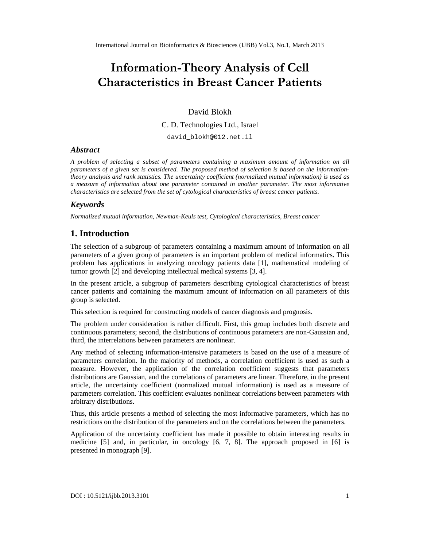# InformatTihoeno Aynalysi & eolfl Characteris  $B$  i es  $S$  and  $C$   $\theta$  atients

#### David Blokh

C. D. Technologies Ltd., Israel

[david\\_blokh@012.net.il](mailto:david_blokh@012.net)

#### **Abstract**

A problem of selecting a subset of parameters ontaining a maximum amount finformation on all parameters of a given set is considered. The proposed method of selectis based orthe informationtheoryanalysis and rank statistics The uncertainty coefficient (normalized mutual information) is used as a measure of informationabout one parametecontained in another parameter. The most informative characteristics are selected from the set of y tological characteristics of breast cancer patients.

#### Keywords

Normalized mutual information)ewmanKeuls testCytological characteristis, Breastcancer

### 1. Introduction

The selectionof a subgroup of parameters ontaininga maximum amountof information on all parameters of a given group potitioneters is nimportant problem of medical informatics. This problem has application is analyzing oncology patients dat [1], mathematial modeling of tumor growth<sup>[2]</sup> and developing intellectualmedical system<sup>[3]</sup>, 4].

In the present article subgroup of parameterdescribing cytological characteristics breast cancerpatients and containing the maximum amount information on all parameters of his groupis selected.

This selectionis required for constructing podels of cancer diagnosis and prognosis.

The problemunder considerations rather difficult First, this group includes both discreteand continuous paranters;second; the distributions of continuous parameterse non-Gaustian and third, the interrelationsbetween parameters arenlinear.

Any method ofselectinginformation-intensiveparametes is based onthe use ofa measure of parametes correlation. In the majority of methods a correlation coefficient is used as surah measure. However, the application of the correlation coefficient suggest that parametes distributions are Gaussian and the correlation of parameters are linear herefore in the present article, the uncertaintycoefficient (normalized mutual information) is used as neasure of parameters correlation. This coefficient evaluate nonlinearcorrelationsbetweenparameters with arbitrary distributions.

Thus, this article presents æthod of selecting the most informative parameters, which has no restrictions on the distribution of thearameters and on the correlations between the parameters.

Application of the uncertainty coefficient has made it possible to obtteinesting results in medicine [5] and, in particular, in oncolog  $6$ , 7, 8]. The approach proposed in  $[63]$ presentedin monograph [9].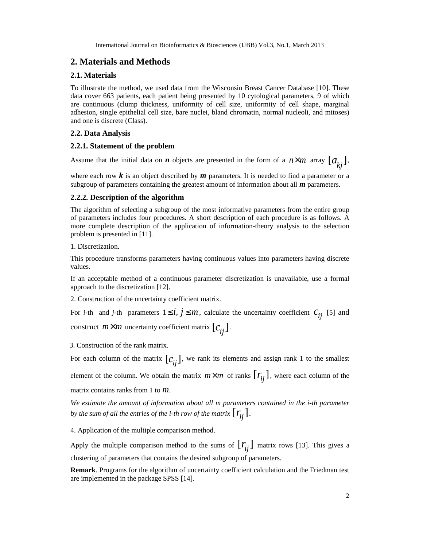International Journal on Bioinformatics & Biosciences (IJBB) Vol.3, No.1, March 2013

## **2. Materials and Methods**

#### **2.1. Materials**

To illustrate the method, we used data from the Wisconsin Breast Cancer Database [10]. These data cover 663 patients, each patient being presented by 10 cytological parameters, 9 of which are continuous (clump thickness, uniformity of cell size, uniformity of cell shape, marginal adhesion, single epithelial cell size, bare nuclei, bland chromatin, normal nucleoli, and mitoses) and one is discrete (Class).

#### **2.2. Data Analysis**

#### **2.2.1. Statement of the problem**

Assume that the initial data on *n* objects are presented in the form of a  $n \times m$  array  $[a_{ki}]$ ,

where each row  $\boldsymbol{k}$  is an object described by  $\boldsymbol{m}$  parameters. It is needed to find a parameter or a subgroup of parameters containing the greatest amount of information about all *m* parameters.

#### **2.2.2. Description of the algorithm**

The algorithm of selecting a subgroup of the most informative parameters from the entire group of parameters includes four procedures. A short description of each procedure is as follows. A more complete description of the application of information-theory analysis to the selection problem is presented in [11].

1. Discretization.

This procedure transforms parameters having continuous values into parameters having discrete values.

If an acceptable method of a continuous parameter discretization is unavailable, use a formal approach to the discretization [12].

2. Construction of the uncertainty coefficient matrix.

For *i*-th and *j*-th parameters  $1 \le i, j \le m$ , calculate the uncertainty coefficient  $c_{ii}$  [5] and

construct  $m \times m$  uncertainty coefficient matrix  $[c_{ij}]$ .

3. Construction of the rank matrix.

For each column of the matrix  $[c_{ij}]$ , we rank its elements and assign rank 1 to the smallest element of the column. We obtain the matrix  $m \times m$  of ranks  $\lfloor r_i \rfloor$ , where each column of the

matrix contains ranks from 1 to *m*.

*We estimate the amount of information about all m parameters contained in the i-th parameter by the sum of all the entries of the <i>i*-th *row of the matrix*  $\lfloor r_{ii} \rfloor$ .

4. Application of the multiple comparison method.

Apply the multiple comparison method to the sums of  $[r_{ij}]$  matrix rows [13]. This gives a clustering of parameters that contains the desired subgroup of parameters.

**Remark**. Programs for the algorithm of uncertainty coefficient calculation and the Friedman test are implemented in the package SPSS [14].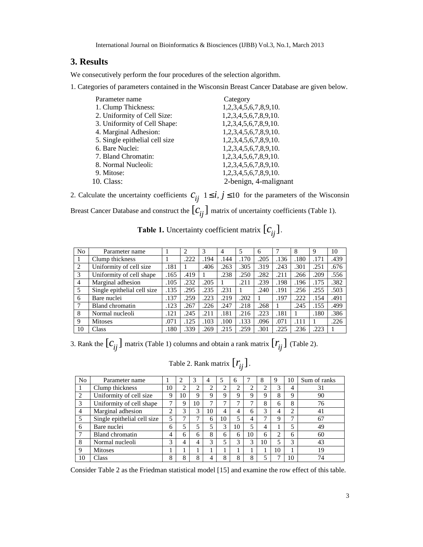International Journal on Bioinformatics & Biosciences (IJBB) Vol.3, No.1, March 2013

### **3. Results**

We consecutively perform the four procedures of the selection algorithm.

1. Categories of parameters contained in the Wisconsin Breast Cancer Database are given below.

| Parameter name                 | Category              |
|--------------------------------|-----------------------|
| 1. Clump Thickness:            | 1,2,3,4,5,6,7,8,9,10. |
| 2. Uniformity of Cell Size:    | 1,2,3,4,5,6,7,8,9,10. |
| 3. Uniformity of Cell Shape:   | 1,2,3,4,5,6,7,8,9,10. |
| 4. Marginal Adhesion:          | 1,2,3,4,5,6,7,8,9,10. |
| 5. Single epithelial cell size | 1,2,3,4,5,6,7,8,9,10. |
| 6. Bare Nuclei:                | 1,2,3,4,5,6,7,8,9,10. |
| 7. Bland Chromatin:            | 1,2,3,4,5,6,7,8,9,10. |
| 8. Normal Nucleoli:            | 1,2,3,4,5,6,7,8,9,10. |
| 9. Mitose:                     | 1,2,3,4,5,6,7,8,9,10. |
| 10. Class:                     | 2-benign, 4-malignant |

2. Calculate the uncertainty coefficients  $C_{ij}$   $1 \le i, j \le 10$  for the parameters of the Wisconsin

Breast Cancer Database and construct the  $[C_{ij}]$  matrix of uncertainty coefficients (Table 1).

| N <sub>0</sub> | Parameter name              |      | 2    | 3    | 4    |      | 6    |      | 8    | 9    | 10   |
|----------------|-----------------------------|------|------|------|------|------|------|------|------|------|------|
|                | Clump thickness             |      | .222 | .194 | .144 | .170 | .205 | .136 | .180 | .171 | .439 |
| 2              | Uniformity of cell size     | .181 |      | .406 | .263 | .305 | .319 | .243 | .301 | .251 | .676 |
| 3              | Uniformity of cell shape    | .165 | .419 |      | .238 | .250 | .282 | .211 | .266 | .209 | .556 |
| $\overline{4}$ | Marginal adhesion           | .105 | .232 | .205 |      | .211 | .239 | .198 | .196 | .175 | .382 |
| 5              | Single epithelial cell size | .135 | .295 | .235 | 231  |      | .240 | .191 | .256 | .255 | .503 |
| 6              | Bare nuclei                 | .137 | 259  | .223 | 219  | .202 |      | .197 | 222  | .154 | .491 |
| 7              | Bland chromatin             | .123 | .267 | .226 | 247  | .218 | .268 |      | .245 | .155 | .499 |
| 8              | Normal nucleoli             | .121 | .245 | .211 | .181 | .216 | .223 | .181 |      | .180 | .386 |
| 9              | Mitoses                     | .071 | 125  | .103 | .100 | .133 | .096 | .071 | .111 |      | .226 |
| 10             | Class                       | .180 | .339 | .269 | .215 | .259 | .301 | .225 | .236 | .223 |      |

**Table 1.** Uncertainty coefficient matrix  $[c_{ij}]$ .

3. Rank the  $[c_{ij}]$  matrix (Table 1) columns and obtain a rank matrix  $[r_{ij}]$  (Table 2).

# Table 2. Rank matrix  $[r_{ij}]$ .

| N <sub>o</sub> | Parameter name              |    | 2      | 3  | 4  |    | 6  |    | 8  | 9              | 10             | Sum of ranks |
|----------------|-----------------------------|----|--------|----|----|----|----|----|----|----------------|----------------|--------------|
|                | Clump thickness             | 10 | ◠<br>∠ | 2  | ◠  | ◠  | ↑  | ◠  | ◠  | 3              | 4              | 31           |
| $\mathcal{D}$  | Uniformity of cell size     | 9  | 10     | 9  | 9  | Q  | Q  | 9  | 9  | 8              | 9              | 90           |
| 3              | Uniformity of cell shape    | ⇁  | 9      | 10 | ⇁  |    | ⇁  |    | 8  | 6              | 8              | 76           |
| $\overline{4}$ | Marginal adhesion           | ↑  | 3      | 3  | 10 | 4  | 4  | 6  | 3  | $\overline{4}$ | $\overline{2}$ | 41           |
| 5              | Single epithelial cell size |    | ⇁      | 7  | 6  | 10 |    | 4  | ⇁  | 9              | 7              | 67           |
| 6              | Bare nuclei                 | 6  | 5      | 5  | 5  | 3  | 10 | E  | 4  |                | 5              | 49           |
|                | <b>Bland chromatin</b>      | 4  | 6      | 6  | 8  | 6  | 6  | 10 | 6  | ↑              | 6              | 60           |
| 8              | Normal nucleoli             | 3  | 4      | 4  | 3  | 5  | 3  | 3  | 10 | 5              | 3              | 43           |
| $\mathbf Q$    | <b>Mitoses</b>              |    |        |    |    |    |    |    |    | 10             |                | 19           |
| 10             | Class                       | 8  | o      | 8  |    | 8  | Ω  | Ω  |    |                | 10             | 74           |

Consider Table 2 as the Friedman statistical model [15] and examine the row effect of this table.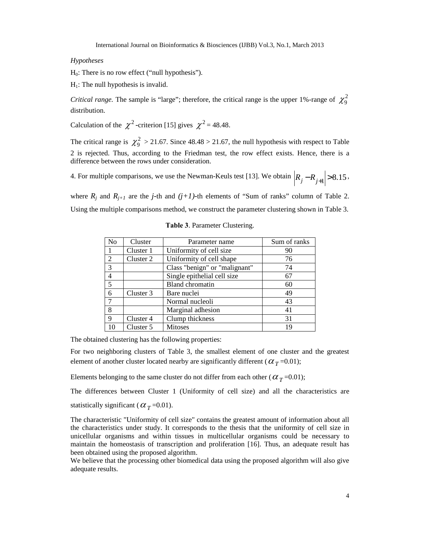#### *Hypotheses*

 $H<sub>0</sub>$ : There is no row effect ("null hypothesis").

 $H_1$ : The null hypothesis is invalid.

*Critical range.* The sample is "large"; therefore, the critical range is the upper 1%-range of  $\chi^2$ <sub>9</sub> distribution.

Calculation of the  $\chi^2$ -criterion [15] gives  $\chi^2$  = 48.48.

The critical range is  $\chi_9^2 > 21.67$ . Since  $48.48 > 21.67$ , the null hypothesis with respect to Table 2 is rejected. Thus, according to the Friedman test, the row effect exists. Hence, there is a difference between the rows under consideration.

4. For multiple comparisons, we use the Newman-Keuls test [13]. We obtain  $|R_j - R_{j+1}| > 8.15$ ,

where  $R_j$  and  $R_{j+1}$  are the *j*-th and  $(j+1)$ -th elements of "Sum of ranks" column of Table 2. Using the multiple comparisons method, we construct the parameter clustering shown in Table 3.

| N <sub>o</sub> | Cluster   | Parameter name                | Sum of ranks |
|----------------|-----------|-------------------------------|--------------|
|                | Cluster 1 | Uniformity of cell size       | 90           |
| 2              | Cluster 2 | Uniformity of cell shape      | 76           |
| 3              |           | Class "benign" or "malignant" | 74           |
| $\overline{4}$ |           | Single epithelial cell size   | 67           |
| 5              |           | Bland chromatin               | 60           |
| 6              | Cluster 3 | Bare nuclei                   | 49           |
|                |           | Normal nucleoli               | 43           |
| 8              |           | Marginal adhesion             | 41           |
| 9              | Cluster 4 | Clump thickness               | 31           |
| 10             | Cluster 5 | <b>Mitoses</b>                | 19           |

#### **Table 3**. Parameter Clustering.

The obtained clustering has the following properties:

For two neighboring clusters of Table 3, the smallest element of one cluster and the greatest element of another cluster located nearby are significantly different ( $\alpha_T$ =0.01);

Elements belonging to the same cluster do not differ from each other (  $\alpha_{\emph{T}}$  =0.01);

The differences between Cluster 1 (Uniformity of cell size) and all the characteristics are

statistically significant ( $\alpha_{T}$ =0.01).

The characteristic "Uniformity of cell size" contains the greatest amount of information about all the characteristics under study. It corresponds to the thesis that the uniformity of cell size in unicellular organisms and within tissues in multicellular organisms could be necessary to maintain the homeostasis of transcription and proliferation [16]. Thus, an adequate result has been obtained using the proposed algorithm.

We believe that the processing other biomedical data using the proposed algorithm will also give adequate results.